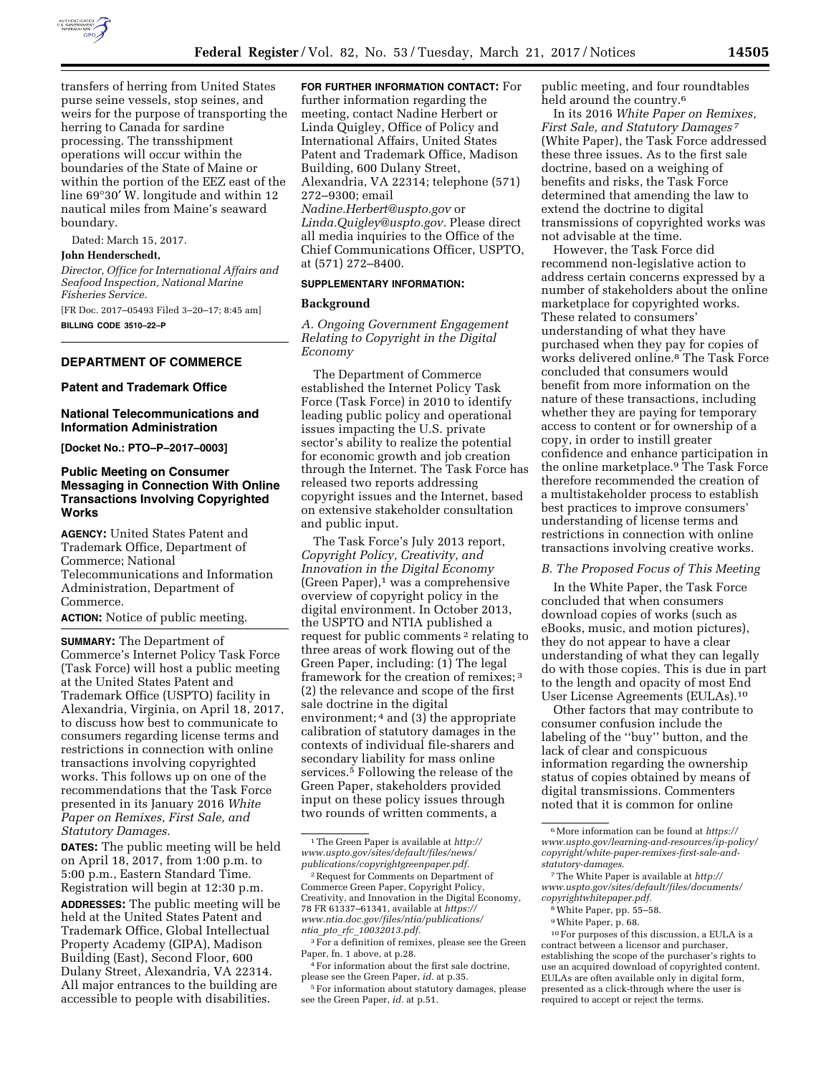

transfers of herring from United States purse seine vessels, stop seines, and weirs for the purpose of transporting the herring to Canada for sardine processing. The transshipment operations will occur within the boundaries of the State of Maine or within the portion of the EEZ east of the line 69°30′ W. longitude and within 12 nautical miles from Maine's seaward boundary.

Dated: March 15, 2017.

### **John Henderschedt,**

*Director, Office for International Affairs and Seafood Inspection, National Marine Fisheries Service.* 

[FR Doc. 2017–05493 Filed 3–20–17; 8:45 am] **BILLING CODE 3510–22–P** 

# **DEPARTMENT OF COMMERCE**

# **Patent and Trademark Office**

### **National Telecommunications and Information Administration**

**[Docket No.: PTO–P–2017–0003]** 

# **Public Meeting on Consumer Messaging in Connection With Online Transactions Involving Copyrighted Works**

**AGENCY:** United States Patent and Trademark Office, Department of Commerce; National Telecommunications and Information Administration, Department of Commerce.

**ACTION:** Notice of public meeting.

**SUMMARY:** The Department of Commerce's Internet Policy Task Force (Task Force) will host a public meeting at the United States Patent and Trademark Office (USPTO) facility in Alexandria, Virginia, on April 18, 2017, to discuss how best to communicate to consumers regarding license terms and restrictions in connection with online transactions involving copyrighted works. This follows up on one of the recommendations that the Task Force presented in its January 2016 *White Paper on Remixes, First Sale, and Statutory Damages.* 

**DATES:** The public meeting will be held on April 18, 2017, from 1:00 p.m. to 5:00 p.m., Eastern Standard Time. Registration will begin at 12:30 p.m. **ADDRESSES:** The public meeting will be held at the United States Patent and Trademark Office, Global Intellectual Property Academy (GIPA), Madison Building (East), Second Floor, 600 Dulany Street, Alexandria, VA 22314. All major entrances to the building are

accessible to people with disabilities.

**FOR FURTHER INFORMATION CONTACT:** For

further information regarding the meeting, contact Nadine Herbert or Linda Quigley, Office of Policy and International Affairs, United States Patent and Trademark Office, Madison Building, 600 Dulany Street, Alexandria, VA 22314; telephone (571) 272–9300; email *[Nadine.Herbert@uspto.gov](mailto:Nadine.Herbert@uspto.gov)* or *[Linda.Quigley@uspto.gov.](mailto:Linda.Quigley@uspto.gov)* Please direct all media inquiries to the Office of the Chief Communications Officer, USPTO, at (571) 272–8400.

### **SUPPLEMENTARY INFORMATION:**

# **Background**

*A. Ongoing Government Engagement Relating to Copyright in the Digital Economy* 

The Department of Commerce established the Internet Policy Task Force (Task Force) in 2010 to identify leading public policy and operational issues impacting the U.S. private sector's ability to realize the potential for economic growth and job creation through the Internet. The Task Force has released two reports addressing copyright issues and the Internet, based on extensive stakeholder consultation and public input.

The Task Force's July 2013 report, *Copyright Policy, Creativity, and Innovation in the Digital Economy*  (Green Paper),1 was a comprehensive overview of copyright policy in the digital environment. In October 2013, the USPTO and NTIA published a request for public comments<sup>2</sup> relating to three areas of work flowing out of the Green Paper, including: (1) The legal framework for the creation of remixes; 3 (2) the relevance and scope of the first sale doctrine in the digital environment; 4 and (3) the appropriate calibration of statutory damages in the contexts of individual file-sharers and secondary liability for mass online services.5 Following the release of the Green Paper, stakeholders provided input on these policy issues through two rounds of written comments, a

1The Green Paper is available at *[http://](http://www.uspto.gov/sites/default/files/news/publications/copyrightgreenpaper.pdf) [www.uspto.gov/sites/default/files/news/](http://www.uspto.gov/sites/default/files/news/publications/copyrightgreenpaper.pdf)  [publications/copyrightgreenpaper.pdf.](http://www.uspto.gov/sites/default/files/news/publications/copyrightgreenpaper.pdf)* 

public meeting, and four roundtables held around the country.<sup>6</sup>

In its 2016 *White Paper on Remixes, First Sale, and Statutory Damages* 7 (White Paper), the Task Force addressed these three issues. As to the first sale doctrine, based on a weighing of benefits and risks, the Task Force determined that amending the law to extend the doctrine to digital transmissions of copyrighted works was not advisable at the time.

However, the Task Force did recommend non-legislative action to address certain concerns expressed by a number of stakeholders about the online marketplace for copyrighted works. These related to consumers' understanding of what they have purchased when they pay for copies of works delivered online.8 The Task Force concluded that consumers would benefit from more information on the nature of these transactions, including whether they are paying for temporary access to content or for ownership of a copy, in order to instill greater confidence and enhance participation in the online marketplace.9 The Task Force therefore recommended the creation of a multistakeholder process to establish best practices to improve consumers' understanding of license terms and restrictions in connection with online transactions involving creative works.

## *B. The Proposed Focus of This Meeting*

In the White Paper, the Task Force concluded that when consumers download copies of works (such as eBooks, music, and motion pictures), they do not appear to have a clear understanding of what they can legally do with those copies. This is due in part to the length and opacity of most End User License Agreements (EULAs).10

Other factors that may contribute to consumer confusion include the labeling of the ''buy'' button, and the lack of clear and conspicuous information regarding the ownership status of copies obtained by means of digital transmissions. Commenters noted that it is common for online

<sup>2</sup>Request for Comments on Department of Commerce Green Paper, Copyright Policy, Creativity, and Innovation in the Digital Economy, 78 FR 61337–61341, available at *[https://](https://www.ntia.doc.gov/files/ntia/publications/ntia_pto_rfc_10032013.pdf) [www.ntia.doc.gov/files/ntia/publications/](https://www.ntia.doc.gov/files/ntia/publications/ntia_pto_rfc_10032013.pdf) ntia*\_*pto*\_*rfc*\_*[10032013.pdf.](https://www.ntia.doc.gov/files/ntia/publications/ntia_pto_rfc_10032013.pdf)* 

<sup>3</sup>For a definition of remixes, please see the Green Paper, fn. 1 above, at p.28.

<sup>4</sup>For information about the first sale doctrine, please see the Green Paper, *id.* at p.35.

<sup>5</sup>For information about statutory damages, please see the Green Paper, *id.* at p.51.

<sup>6</sup>More information can be found at *[https://](https://www.uspto.gov/learning-and-resources/ip-policy/copyright/white-paper-remixes-first-sale-and-statutory-damages)  [www.uspto.gov/learning-and-resources/ip-policy/](https://www.uspto.gov/learning-and-resources/ip-policy/copyright/white-paper-remixes-first-sale-and-statutory-damages) [copyright/white-paper-remixes-first-sale-and](https://www.uspto.gov/learning-and-resources/ip-policy/copyright/white-paper-remixes-first-sale-and-statutory-damages)[statutory-damages.](https://www.uspto.gov/learning-and-resources/ip-policy/copyright/white-paper-remixes-first-sale-and-statutory-damages)* 

<sup>7</sup>The White Paper is available at *[http://](http://www.uspto.gov/sites/default/files/documents/copyrightwhitepaper.pdf)  [www.uspto.gov/sites/default/files/documents/](http://www.uspto.gov/sites/default/files/documents/copyrightwhitepaper.pdf) [copyrightwhitepaper.pdf.](http://www.uspto.gov/sites/default/files/documents/copyrightwhitepaper.pdf)* 

<sup>8</sup>White Paper, pp. 55–58.

<sup>9</sup>White Paper, p. 68.

<sup>10</sup>For purposes of this discussion, a EULA is a contract between a licensor and purchaser, establishing the scope of the purchaser's rights to use an acquired download of copyrighted content. EULAs are often available only in digital form, presented as a click-through where the user is required to accept or reject the terms.